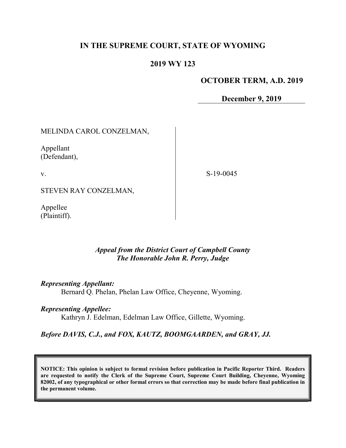# IN THE SUPREME COURT, STATE OF WYOMING

### 2019 WY 123

#### OCTOBER TERM, A.D. 2019

December 9, 2019

MELINDA CAROL CONZELMAN,

Appellant (Defendant),

v.

S-19-0045

STEVEN RAY CONZELMAN,

Appellee (Plaintiff).

### Appeal from the District Court of Campbell County The Honorable John R. Perry, Judge

Representing Appellant:

Bernard Q. Phelan, Phelan Law Office, Cheyenne, Wyoming.

Representing Appellee:

Kathryn J. Edelman, Edelman Law Office, Gillette, Wyoming.

#### Before DAVIS, C.J., and FOX, KAUTZ, BOOMGAARDEN, and GRAY, JJ.

NOTICE: This opinion is subject to formal revision before publication in Pacific Reporter Third. Readers are requested to notify the Clerk of the Supreme Court, Supreme Court Building, Cheyenne, Wyoming 82002, of any typographical or other formal errors so that correction may be made before final publication in the permanent volume.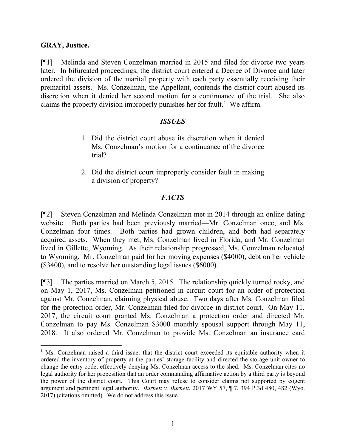### GRAY, Justice.

 $\overline{a}$ 

[¶1] Melinda and Steven Conzelman married in 2015 and filed for divorce two years later. In bifurcated proceedings, the district court entered a Decree of Divorce and later ordered the division of the marital property with each party essentially receiving their premarital assets. Ms. Conzelman, the Appellant, contends the district court abused its discretion when it denied her second motion for a continuance of the trial. She also claims the property division improperly punishes her for fault.<sup>1</sup> We affirm.

#### ISSUES

- 1. Did the district court abuse its discretion when it denied Ms. Conzelman's motion for a continuance of the divorce trial?
- 2. Did the district court improperly consider fault in making a division of property?

### **FACTS**

[¶2] Steven Conzelman and Melinda Conzelman met in 2014 through an online dating website. Both parties had been previously married—Mr. Conzelman once, and Ms. Conzelman four times. Both parties had grown children, and both had separately acquired assets. When they met, Ms. Conzelman lived in Florida, and Mr. Conzelman lived in Gillette, Wyoming. As their relationship progressed, Ms. Conzelman relocated to Wyoming. Mr. Conzelman paid for her moving expenses (\$4000), debt on her vehicle (\$3400), and to resolve her outstanding legal issues (\$6000).

[¶3] The parties married on March 5, 2015. The relationship quickly turned rocky, and on May 1, 2017, Ms. Conzelman petitioned in circuit court for an order of protection against Mr. Conzelman, claiming physical abuse. Two days after Ms. Conzelman filed for the protection order, Mr. Conzelman filed for divorce in district court. On May 11, 2017, the circuit court granted Ms. Conzelman a protection order and directed Mr. Conzelman to pay Ms. Conzelman \$3000 monthly spousal support through May 11, 2018. It also ordered Mr. Conzelman to provide Ms. Conzelman an insurance card

<sup>&</sup>lt;sup>1</sup> Ms. Conzelman raised a third issue: that the district court exceeded its equitable authority when it ordered the inventory of property at the parties' storage facility and directed the storage unit owner to change the entry code, effectively denying Ms. Conzelman access to the shed. Ms. Conzelman cites no legal authority for her proposition that an order commanding affirmative action by a third party is beyond the power of the district court. This Court may refuse to consider claims not supported by cogent argument and pertinent legal authority. Burnett v. Burnett, 2017 WY 57, ¶ 7, 394 P.3d 480, 482 (Wyo. 2017) (citations omitted). We do not address this issue.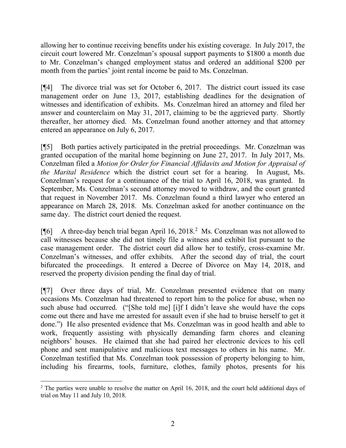allowing her to continue receiving benefits under his existing coverage. In July 2017, the circuit court lowered Mr. Conzelman's spousal support payments to \$1800 a month due to Mr. Conzelman's changed employment status and ordered an additional \$200 per month from the parties' joint rental income be paid to Ms. Conzelman.

[¶4] The divorce trial was set for October 6, 2017. The district court issued its case management order on June 13, 2017, establishing deadlines for the designation of witnesses and identification of exhibits. Ms. Conzelman hired an attorney and filed her answer and counterclaim on May 31, 2017, claiming to be the aggrieved party. Shortly thereafter, her attorney died. Ms. Conzelman found another attorney and that attorney entered an appearance on July 6, 2017.

[¶5] Both parties actively participated in the pretrial proceedings. Mr. Conzelman was granted occupation of the marital home beginning on June 27, 2017. In July 2017, Ms. Conzelman filed a Motion for Order for Financial Affidavits and Motion for Appraisal of the Marital Residence which the district court set for a hearing. In August, Ms. Conzelman's request for a continuance of the trial to April 16, 2018, was granted. In September, Ms. Conzelman's second attorney moved to withdraw, and the court granted that request in November 2017. Ms. Conzelman found a third lawyer who entered an appearance on March 28, 2018. Ms. Conzelman asked for another continuance on the same day. The district court denied the request.

[¶6] A three-day bench trial began April 16, 2018.<sup>2</sup> Ms. Conzelman was not allowed to call witnesses because she did not timely file a witness and exhibit list pursuant to the case management order. The district court did allow her to testify, cross-examine Mr. Conzelman's witnesses, and offer exhibits. After the second day of trial, the court bifurcated the proceedings. It entered a Decree of Divorce on May 14, 2018, and reserved the property division pending the final day of trial.

[¶7] Over three days of trial, Mr. Conzelman presented evidence that on many occasions Ms. Conzelman had threatened to report him to the police for abuse, when no such abuse had occurred. ("[She told me] [i]f I didn't leave she would have the cops come out there and have me arrested for assault even if she had to bruise herself to get it done.") He also presented evidence that Ms. Conzelman was in good health and able to work, frequently assisting with physically demanding farm chores and cleaning neighbors' houses. He claimed that she had paired her electronic devices to his cell phone and sent manipulative and malicious text messages to others in his name. Mr. Conzelman testified that Ms. Conzelman took possession of property belonging to him, including his firearms, tools, furniture, clothes, family photos, presents for his

 $\overline{a}$  $2$  The parties were unable to resolve the matter on April 16, 2018, and the court held additional days of trial on May 11 and July 10, 2018.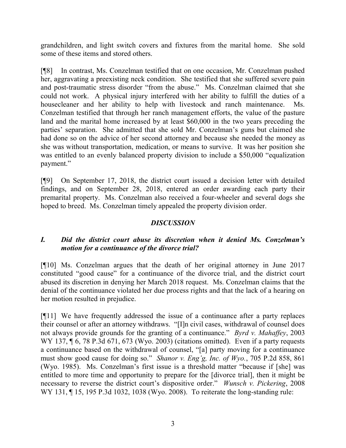grandchildren, and light switch covers and fixtures from the marital home. She sold some of these items and stored others.

[¶8] In contrast, Ms. Conzelman testified that on one occasion, Mr. Conzelman pushed her, aggravating a preexisting neck condition. She testified that she suffered severe pain and post-traumatic stress disorder "from the abuse." Ms. Conzelman claimed that she could not work. A physical injury interfered with her ability to fulfill the duties of a housecleaner and her ability to help with livestock and ranch maintenance. Ms. Conzelman testified that through her ranch management efforts, the value of the pasture land and the marital home increased by at least \$60,000 in the two years preceding the parties' separation. She admitted that she sold Mr. Conzelman's guns but claimed she had done so on the advice of her second attorney and because she needed the money as she was without transportation, medication, or means to survive. It was her position she was entitled to an evenly balanced property division to include a \$50,000 "equalization payment."

[¶9] On September 17, 2018, the district court issued a decision letter with detailed findings, and on September 28, 2018, entered an order awarding each party their premarital property. Ms. Conzelman also received a four-wheeler and several dogs she hoped to breed. Ms. Conzelman timely appealed the property division order.

# **DISCUSSION**

# I. Did the district court abuse its discretion when it denied Ms. Conzelman's motion for a continuance of the divorce trial?

[¶10] Ms. Conzelman argues that the death of her original attorney in June 2017 constituted "good cause" for a continuance of the divorce trial, and the district court abused its discretion in denying her March 2018 request. Ms. Conzelman claims that the denial of the continuance violated her due process rights and that the lack of a hearing on her motion resulted in prejudice.

[¶11] We have frequently addressed the issue of a continuance after a party replaces their counsel or after an attorney withdraws. "[I]n civil cases, withdrawal of counsel does not always provide grounds for the granting of a continuance." *Byrd v. Mahaffey*, 2003 WY 137,  $\P$  6, 78 P.3d 671, 673 (Wyo. 2003) (citations omitted). Even if a party requests a continuance based on the withdrawal of counsel, "[a] party moving for a continuance must show good cause for doing so." Shanor v. Eng'g, Inc. of Wyo., 705 P.2d 858, 861 (Wyo. 1985). Ms. Conzelman's first issue is a threshold matter "because if [she] was entitled to more time and opportunity to prepare for the [divorce trial], then it might be necessary to reverse the district court's dispositive order." Wunsch v. Pickering, 2008 WY 131, 15, 195 P.3d 1032, 1038 (Wyo. 2008). To reiterate the long-standing rule: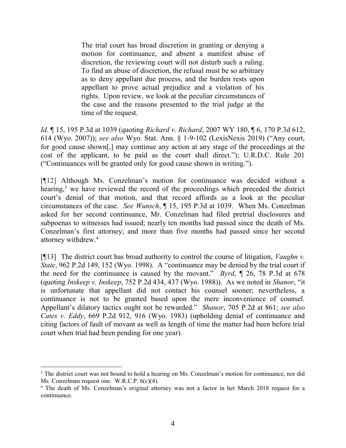The trial court has broad discretion in granting or denying a motion for continuance, and absent a manifest abuse of discretion, the reviewing court will not disturb such a ruling. To find an abuse of discretion, the refusal must be so arbitrary as to deny appellant due process, and the burden rests upon appellant to prove actual prejudice and a violation of his rights. Upon review, we look at the peculiar circumstances of the case and the reasons presented to the trial judge at the time of the request.

*Id.* 15, 195 P.3d at 1039 (quoting *Richard v. Richard*, 2007 WY 180, 16, 170 P.3d 612, 614 (Wyo. 2007)); see also Wyo. Stat. Ann. § 1-9-102 (LexisNexis 2019) ("Any court, for good cause shown[,] may continue any action at any stage of the proceedings at the cost of the applicant, to be paid as the court shall direct."); U.R.D.C. Rule 201 ("Continuances will be granted only for good cause shown in writing.").

[¶12] Although Ms. Conzelman's motion for continuance was decided without a hearing,<sup>3</sup> we have reviewed the record of the proceedings which preceded the district court's denial of that motion, and that record affords us a look at the peculiar circumstances of the case. See Wunsch, ¶ 15, 195 P.3d at 1039. When Ms. Conzelman asked for her second continuance, Mr. Conzelman had filed pretrial disclosures and subpoenas to witnesses had issued; nearly ten months had passed since the death of Ms. Conzelman's first attorney; and more than five months had passed since her second attorney withdrew.<sup>4</sup>

[ $[$ [13] The district court has broad authority to control the course of litigation, *Vaughn v.* State, 962 P.2d 149, 152 (Wyo. 1998). A "continuance may be denied by the trial court if the need for the continuance is caused by the movant." Byrd,  $\P$  26, 78 P.3d at 678 (quoting Inskeep v. Inskeep, 752 P.2d 434, 437 (Wyo. 1988)). As we noted in Shanor, "it is unfortunate that appellant did not contact his counsel sooner; nevertheless, a continuance is not to be granted based upon the mere inconvenience of counsel. Appellant's dilatory tactics ought not be rewarded." Shanor, 705 P.2d at 861; see also Cates v. Eddy, 669 P.2d 912, 916 (Wyo. 1983) (upholding denial of continuance and citing factors of fault of movant as well as length of time the matter had been before trial court when trial had been pending for one year).

 $\overline{a}$ 

<sup>&</sup>lt;sup>3</sup> The district court was not bound to hold a hearing on Ms. Conzelman's motion for continuance, nor did Ms. Conzelman request one. W.R.C.P. 6(c)(4).

<sup>&</sup>lt;sup>4</sup> The death of Ms. Conzelman's original attorney was not a factor in her March 2018 request for a continuance.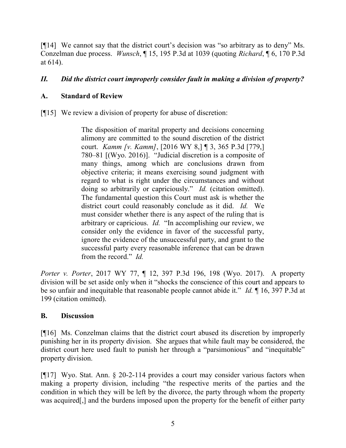[¶14] We cannot say that the district court's decision was "so arbitrary as to deny" Ms. Conzelman due process. Wunsch, ¶ 15, 195 P.3d at 1039 (quoting Richard, ¶ 6, 170 P.3d at 614).

# II. Did the district court improperly consider fault in making a division of property?

# A. Standard of Review

[¶15] We review a division of property for abuse of discretion:

The disposition of marital property and decisions concerning alimony are committed to the sound discretion of the district court. Kamm [v. Kamm], [2016 WY 8,] ¶ 3, 365 P.3d [779,] 780–81 [(Wyo. 2016)]. "Judicial discretion is a composite of many things, among which are conclusions drawn from objective criteria; it means exercising sound judgment with regard to what is right under the circumstances and without doing so arbitrarily or capriciously." *Id.* (citation omitted). The fundamental question this Court must ask is whether the district court could reasonably conclude as it did. Id. We must consider whether there is any aspect of the ruling that is arbitrary or capricious. Id. "In accomplishing our review, we consider only the evidence in favor of the successful party, ignore the evidence of the unsuccessful party, and grant to the successful party every reasonable inference that can be drawn from the record." Id.

Porter v. Porter, 2017 WY 77, ¶ 12, 397 P.3d 196, 198 (Wyo. 2017). A property division will be set aside only when it "shocks the conscience of this court and appears to be so unfair and inequitable that reasonable people cannot abide it." *Id.* 16, 397 P.3d at 199 (citation omitted).

### B. Discussion

[¶16] Ms. Conzelman claims that the district court abused its discretion by improperly punishing her in its property division. She argues that while fault may be considered, the district court here used fault to punish her through a "parsimonious" and "inequitable" property division.

[¶17] Wyo. Stat. Ann. § 20-2-114 provides a court may consider various factors when making a property division, including "the respective merits of the parties and the condition in which they will be left by the divorce, the party through whom the property was acquired[,] and the burdens imposed upon the property for the benefit of either party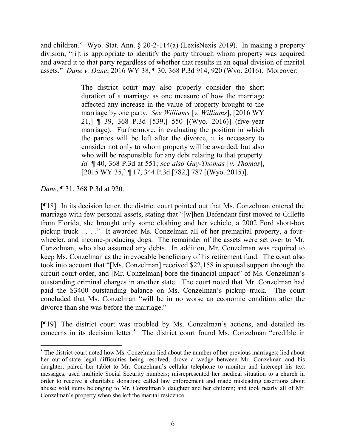and children." Wyo. Stat. Ann. § 20-2-114(a) (LexisNexis 2019). In making a property division, "[i]t is appropriate to identify the party through whom property was acquired and award it to that party regardless of whether that results in an equal division of marital assets." Dane v. Dane, 2016 WY 38, ¶ 30, 368 P.3d 914, 920 (Wyo. 2016). Moreover:

> The district court may also properly consider the short duration of a marriage as one measure of how the marriage affected any increase in the value of property brought to the marriage by one party. See Williams [v. Williams], [2016 WY] 21,] ¶ 39, 368 P.3d [539,] 550 [(Wyo. 2016)] (five-year marriage). Furthermore, in evaluating the position in which the parties will be left after the divorce, it is necessary to consider not only to whom property will be awarded, but also who will be responsible for any debt relating to that property. Id.  $\P$  40, 368 P.3d at 551; see also Guy-Thomas [v. Thomas], [2015 WY 35,] ¶ 17, 344 P.3d [782,] 787 [(Wyo. 2015)].

Dane, ¶ 31, 368 P.3d at 920.

 $\overline{a}$ 

[¶18] In its decision letter, the district court pointed out that Ms. Conzelman entered the marriage with few personal assets, stating that "[w]hen Defendant first moved to Gillette from Florida, she brought only some clothing and her vehicle, a 2002 Ford short-box pickup truck . . . ." It awarded Ms. Conzelman all of her premarital property, a fourwheeler, and income-producing dogs. The remainder of the assets were set over to Mr. Conzelman, who also assumed any debts. In addition, Mr. Conzelman was required to keep Ms. Conzelman as the irrevocable beneficiary of his retirement fund. The court also took into account that "[Ms. Conzelman] received \$22,158 in spousal support through the circuit court order, and [Mr. Conzelman] bore the financial impact" of Ms. Conzelman's outstanding criminal charges in another state. The court noted that Mr. Conzelman had paid the \$3400 outstanding balance on Ms. Conzelman's pickup truck. The court concluded that Ms. Conzelman "will be in no worse an economic condition after the divorce than she was before the marriage."

[¶19] The district court was troubled by Ms. Conzelman's actions, and detailed its concerns in its decision letter.<sup>5</sup> The district court found Ms. Conzelman "credible in

<sup>&</sup>lt;sup>5</sup> The district court noted how Ms. Conzelman lied about the number of her previous marriages; lied about her out-of-state legal difficulties being resolved; drove a wedge between Mr. Conzelman and his daughter; paired her tablet to Mr. Conzelman's cellular telephone to monitor and intercept his text messages; used multiple Social Security numbers; misrepresented her medical situation to a church in order to receive a charitable donation; called law enforcement and made misleading assertions about abuse; sold items belonging to Mr. Conzelman's daughter and her children; and took nearly all of Mr. Conzelman's property when she left the marital residence.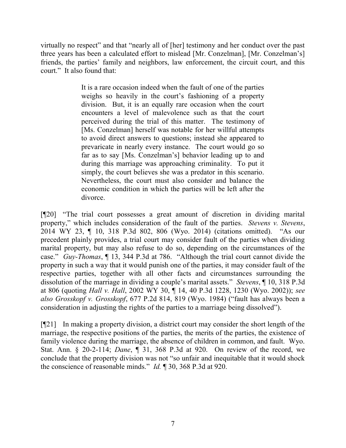virtually no respect" and that "nearly all of [her] testimony and her conduct over the past three years has been a calculated effort to mislead [Mr. Conzelman], [Mr. Conzelman's] friends, the parties' family and neighbors, law enforcement, the circuit court, and this court." It also found that:

> It is a rare occasion indeed when the fault of one of the parties weighs so heavily in the court's fashioning of a property division. But, it is an equally rare occasion when the court encounters a level of malevolence such as that the court perceived during the trial of this matter. The testimony of [Ms. Conzelman] herself was notable for her willful attempts to avoid direct answers to questions; instead she appeared to prevaricate in nearly every instance. The court would go so far as to say [Ms. Conzelman's] behavior leading up to and during this marriage was approaching criminality. To put it simply, the court believes she was a predator in this scenario. Nevertheless, the court must also consider and balance the economic condition in which the parties will be left after the divorce.

[¶20] "The trial court possesses a great amount of discretion in dividing marital property," which includes consideration of the fault of the parties. Stevens v. Stevens, 2014 WY 23, ¶ 10, 318 P.3d 802, 806 (Wyo. 2014) (citations omitted). "As our precedent plainly provides, a trial court may consider fault of the parties when dividing marital property, but may also refuse to do so, depending on the circumstances of the case." Guy-Thomas, ¶ 13, 344 P.3d at 786. "Although the trial court cannot divide the property in such a way that it would punish one of the parties, it may consider fault of the respective parties, together with all other facts and circumstances surrounding the dissolution of the marriage in dividing a couple's marital assets." Stevens, ¶ 10, 318 P.3d at 806 (quoting Hall v. Hall, 2002 WY 30, ¶ 14, 40 P.3d 1228, 1230 (Wyo. 2002)); see also Grosskopf v. Grosskopf, 677 P.2d 814, 819 (Wyo. 1984) ("fault has always been a consideration in adjusting the rights of the parties to a marriage being dissolved").

[¶21] In making a property division, a district court may consider the short length of the marriage, the respective positions of the parties, the merits of the parties, the existence of family violence during the marriage, the absence of children in common, and fault. Wyo. Stat. Ann. § 20-2-114; Dane, ¶ 31, 368 P.3d at 920. On review of the record, we conclude that the property division was not "so unfair and inequitable that it would shock the conscience of reasonable minds." *Id.* 1 30, 368 P.3d at 920.